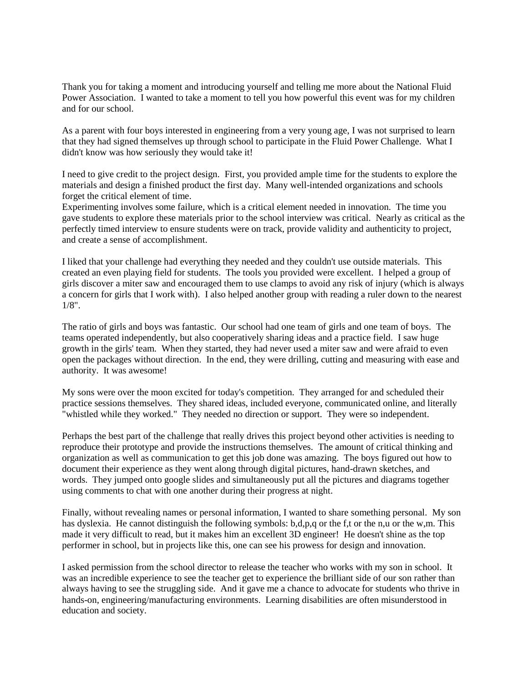Thank you for taking a moment and introducing yourself and telling me more about the National Fluid Power Association. I wanted to take a moment to tell you how powerful this event was for my children and for our school.

As a parent with four boys interested in engineering from a very young age, I was not surprised to learn that they had signed themselves up through school to participate in the Fluid Power Challenge. What I didn't know was how seriously they would take it!

I need to give credit to the project design. First, you provided ample time for the students to explore the materials and design a finished product the first day. Many well-intended organizations and schools forget the critical element of time.

Experimenting involves some failure, which is a critical element needed in innovation. The time you gave students to explore these materials prior to the school interview was critical. Nearly as critical as the perfectly timed interview to ensure students were on track, provide validity and authenticity to project, and create a sense of accomplishment.

I liked that your challenge had everything they needed and they couldn't use outside materials. This created an even playing field for students. The tools you provided were excellent. I helped a group of girls discover a miter saw and encouraged them to use clamps to avoid any risk of injury (which is always a concern for girls that I work with). I also helped another group with reading a ruler down to the nearest 1/8".

The ratio of girls and boys was fantastic. Our school had one team of girls and one team of boys. The teams operated independently, but also cooperatively sharing ideas and a practice field. I saw huge growth in the girls' team. When they started, they had never used a miter saw and were afraid to even open the packages without direction. In the end, they were drilling, cutting and measuring with ease and authority. It was awesome!

My sons were over the moon excited for today's competition. They arranged for and scheduled their practice sessions themselves. They shared ideas, included everyone, communicated online, and literally "whistled while they worked." They needed no direction or support. They were so independent.

Perhaps the best part of the challenge that really drives this project beyond other activities is needing to reproduce their prototype and provide the instructions themselves. The amount of critical thinking and organization as well as communication to get this job done was amazing. The boys figured out how to document their experience as they went along through digital pictures, hand-drawn sketches, and words. They jumped onto google slides and simultaneously put all the pictures and diagrams together using comments to chat with one another during their progress at night.

Finally, without revealing names or personal information, I wanted to share something personal. My son has dyslexia. He cannot distinguish the following symbols: b,d,p,q or the f,t or the n,u or the w,m. This made it very difficult to read, but it makes him an excellent 3D engineer! He doesn't shine as the top performer in school, but in projects like this, one can see his prowess for design and innovation.

I asked permission from the school director to release the teacher who works with my son in school. It was an incredible experience to see the teacher get to experience the brilliant side of our son rather than always having to see the struggling side. And it gave me a chance to advocate for students who thrive in hands-on, engineering/manufacturing environments. Learning disabilities are often misunderstood in education and society.